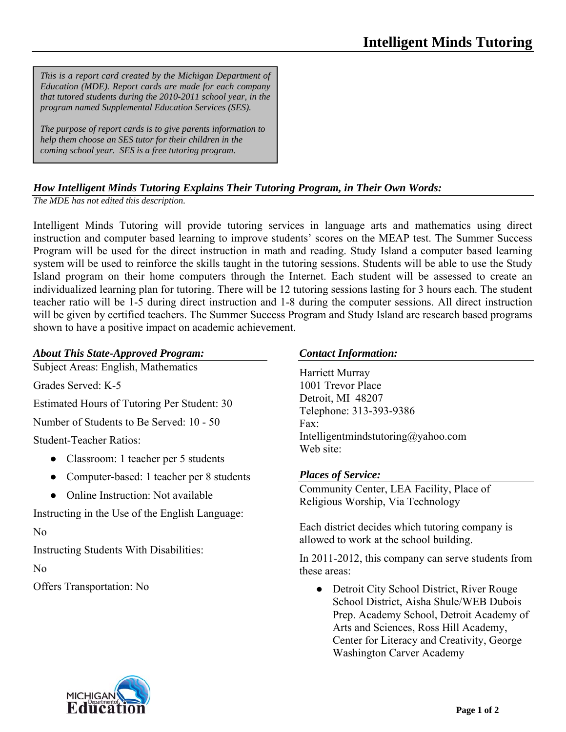*This is a report card created by the Michigan Department of Education (MDE). Report cards are made for each company that tutored students during the 2010-2011 school year, in the program named Supplemental Education Services (SES).* 

*The purpose of report cards is to give parents information to help them choose an SES tutor for their children in the coming school year. SES is a free tutoring program.* 

## *How Intelligent Minds Tutoring Explains Their Tutoring Program, in Their Own Words:*

*The MDE has not edited this description.* 

Intelligent Minds Tutoring will provide tutoring services in language arts and mathematics using direct instruction and computer based learning to improve students' scores on the MEAP test. The Summer Success Program will be used for the direct instruction in math and reading. Study Island a computer based learning system will be used to reinforce the skills taught in the tutoring sessions. Students will be able to use the Study Island program on their home computers through the Internet. Each student will be assessed to create an individualized learning plan for tutoring. There will be 12 tutoring sessions lasting for 3 hours each. The student teacher ratio will be 1-5 during direct instruction and 1-8 during the computer sessions. All direct instruction will be given by certified teachers. The Summer Success Program and Study Island are research based programs shown to have a positive impact on academic achievement.

## *About This State-Approved Program:*

Subject Areas: English, Mathematics

Grades Served: K-5

Estimated Hours of Tutoring Per Student: 30

Number of Students to Be Served: 10 - 50

Student-Teacher Ratios:

- Classroom: 1 teacher per 5 students
- Computer-based: 1 teacher per 8 students
- Online Instruction: Not available

Instructing in the Use of the English Language:

# No

Instructing Students With Disabilities:

No

Offers Transportation: No

### *Contact Information:*

Harriett Murray 1001 Trevor Place Detroit, MI 48207 Telephone: 313-393-9386 Fax: Intelligentmindstutoring@yahoo.com Web site:

#### *Places of Service:*

Community Center, LEA Facility, Place of Religious Worship, Via Technology

Each district decides which tutoring company is allowed to work at the school building.

In 2011-2012, this company can serve students from these areas:

• Detroit City School District, River Rouge School District, Aisha Shule/WEB Dubois Prep. Academy School, Detroit Academy of Arts and Sciences, Ross Hill Academy, Center for Literacy and Creativity, George Washington Carver Academy